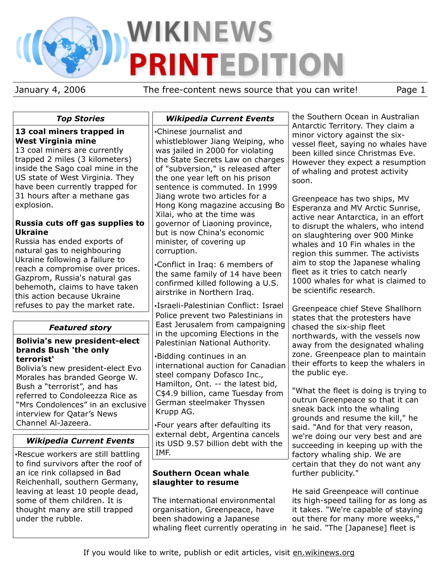# WIKINEWS **PRINTEDITION**

January 4, 2006 The free-content news source that you can write! Page 1

## *Top Stories*

#### **13 coal miners trapped in West Virginia mine**

13 coal miners are currently trapped 2 miles (3 kilometers) inside the Sago coal mine in the US state of West Virginia. They have been currently trapped for 31 hours after a methane gas explosion.

#### **Russia cuts off gas supplies to Ukraine**

Russia has ended exports of natural gas to neighbouring Ukraine following a failure to reach a compromise over prices. Gazprom, Russia's natural gas behemoth, claims to have taken this action because Ukraine refuses to pay the market rate.

## *Featured story*

#### **Bolivia's new president-elect brands Bush 'the only terrorist'**

Bolivia's new president-elect Evo Morales has branded George W. Bush a "terrorist", and has referred to Condoleezza Rice as "Mrs Condolences" in an exclusive interview for Qatar's News Channel Al-Jazeera.

## *Wikipedia Current Events*

•Rescue workers are still battling to find survivors after the roof of an ice rink collapsed in Bad Reichenhall, southern Germany, leaving at least 10 people dead, some of them children. It is thought many are still trapped under the rubble.

•Chinese journalist and whistleblower Jiang Weiping, who was jailed in 2000 for violating the State Secrets Law on charges of "subversion," is released after the one year left on his prison sentence is commuted. In 1999 Jiang wrote two articles for a Hong Kong magazine accusing Bo

*Wikipedia Current Events*

Xilai, who at the time was governor of Liaoning province, but is now China's economic minister, of covering up corruption.

•Conflict in Iraq: 6 members of the same family of 14 have been confirmed killed following a U.S. airstrike in Northern Iraq.

•Israeli-Palestinian Conflict: Israel Police prevent two Palestinians in East Jerusalem from campaigning in the upcoming Elections in the Palestinian National Authority.

•Bidding continues in an international auction for Canadian steel company Dofasco Inc., Hamilton, Ont. -- the latest bid, C\$4.9 billion, came Tuesday from German steelmaker Thyssen Krupp AG.

•Four years after defaulting its external debt, Argentina cancels its USD 9.57 billion debt with the IMF.

## **Southern Ocean whale slaughter to resume**

The international environmental organisation, Greenpeace, have been shadowing a Japanese whaling fleet currently operating in he said. "The [Japanese] fleet is

the Southern Ocean in Australian Antarctic Territory. They claim a minor victory against the sixvessel fleet, saying no whales have been killed since Christmas Eve. However they expect a resumption of whaling and protest activity soon.

Greenpeace has two ships, MV Esperanza and MV Arctic Sunrise, active near Antarctica, in an effort to disrupt the whalers, who intend on slaughtering over 900 Minke whales and 10 Fin whales in the region this summer. The activists aim to stop the Japanese whaling fleet as it tries to catch nearly 1000 whales for what is claimed to be scientific research.

Greenpeace chief Steve Shallhorn states that the protesters have chased the six-ship fleet northwards, with the vessels now away from the designated whaling zone. Greenpeace plan to maintain their efforts to keep the whalers in the public eye.

"What the fleet is doing is trying to outrun Greenpeace so that it can sneak back into the whaling grounds and resume the kill," he said. "And for that very reason, we're doing our very best and are succeeding in keeping up with the factory whaling ship. We are certain that they do not want any further publicity."

He said Greenpeace will continue its high-speed tailing for as long as it takes. "We're capable of staying out there for many more weeks,"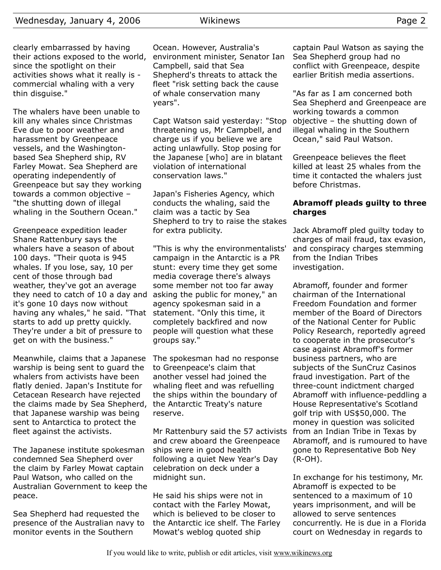clearly embarrassed by having their actions exposed to the world, since the spotlight on their activities shows what it really is commercial whaling with a very thin disguise."

The whalers have been unable to kill any whales since Christmas Eve due to poor weather and harassment by Greenpeace vessels, and the Washingtonbased Sea Shepherd ship, RV Farley Mowat. Sea Shepherd are operating independently of Greenpeace but say they working towards a common objective – "the shutting down of illegal whaling in the Southern Ocean."

Greenpeace expedition leader Shane Rattenbury says the whalers have a season of about 100 days. "Their quota is 945 whales. If you lose, say, 10 per cent of those through bad weather, they've got an average they need to catch of 10 a day and it's gone 10 days now without having any whales," he said. "That starts to add up pretty quickly. They're under a bit of pressure to get on with the business."

Meanwhile, claims that a Japanese warship is being sent to guard the whalers from activists have been flatly denied. Japan's Institute for Cetacean Research have rejected the claims made by Sea Shepherd, that Japanese warship was being sent to Antarctica to protect the fleet against the activists.

The Japanese institute spokesman condemned Sea Shepherd over the claim by Farley Mowat captain Paul Watson, who called on the Australian Government to keep the peace.

Sea Shepherd had requested the presence of the Australian navy to monitor events in the Southern

Ocean. However, Australia's environment minister, Senator Ian Campbell, said that Sea Shepherd's threats to attack the fleet "risk setting back the cause of whale conservation many years".

Capt Watson said yesterday: "Stop threatening us, Mr Campbell, and charge us if you believe we are acting unlawfully. Stop posing for the Japanese [who] are in blatant violation of international conservation laws."

Japan's Fisheries Agency, which conducts the whaling, said the claim was a tactic by Sea Shepherd to try to raise the stakes for extra publicity.

"This is why the environmentalists' campaign in the Antarctic is a PR stunt: every time they get some media coverage there's always some member not too far away asking the public for money," an agency spokesman said in a statement. "Only this time, it completely backfired and now people will question what these groups say."

The spokesman had no response to Greenpeace's claim that another vessel had joined the whaling fleet and was refuelling the ships within the boundary of the Antarctic Treaty's nature reserve.

Mr Rattenbury said the 57 activists and crew aboard the Greenpeace ships were in good health following a quiet New Year's Day celebration on deck under a midnight sun.

He said his ships were not in contact with the Farley Mowat, which is believed to be closer to the Antarctic ice shelf. The Farley Mowat's weblog quoted ship

captain Paul Watson as saying the Sea Shepherd group had no conflict with Greenpeace, despite earlier British media assertions.

"As far as I am concerned both Sea Shepherd and Greenpeace are working towards a common objective – the shutting down of illegal whaling in the Southern Ocean," said Paul Watson.

Greenpeace believes the fleet killed at least 25 whales from the time it contacted the whalers just before Christmas.

#### **Abramoff pleads guilty to three charges**

Jack Abramoff pled guilty today to charges of mail fraud, tax evasion, and conspiracy charges stemming from the Indian Tribes investigation.

Abramoff, founder and former chairman of the International Freedom Foundation and former member of the Board of Directors of the National Center for Public Policy Research, reportedly agreed to cooperate in the prosecutor's case against Abramoff's former business partners, who are subjects of the SunCruz Casinos fraud investigation. Part of the three-count indictment charged Abramoff with influence-peddling a House Representative's Scotland golf trip with US\$50,000. The money in question was solicited from an Indian Tribe in Texas by Abramoff, and is rumoured to have gone to Representative Bob Ney (R-OH).

In exchange for his testimony, Mr. Abramoff is expected to be sentenced to a maximum of 10 years imprisonment, and will be allowed to serve sentences concurrently. He is due in a Florida court on Wednesday in regards to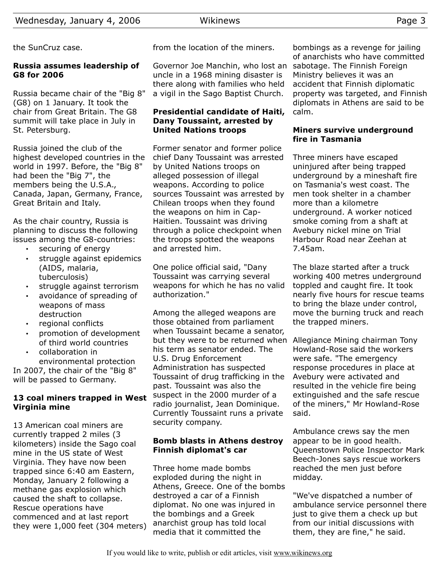the SunCruz case.

## **Russia assumes leadership of G8 for 2006**

Russia became chair of the "Big 8" (G8) on 1 January. It took the chair from Great Britain. The G8 summit will take place in July in St. Petersburg.

Russia joined the club of the highest developed countries in the world in 1997. Before, the "Big 8" had been the "Big 7", the members being the U.S.A., Canada, Japan, Germany, France, Great Britain and Italy.

As the chair country, Russia is planning to discuss the following issues among the G8-countries:

- securing of energy
- struggle against epidemics (AIDS, malaria, tuberculosis)
- struggle against terrorism
- avoidance of spreading of weapons of mass destruction
- regional conflicts
- promotion of development of third world countries
- collaboration in

environmental protection In 2007, the chair of the "Big 8" will be passed to Germany.

## **13 coal miners trapped in West Virginia mine**

13 American coal miners are currently trapped 2 miles (3 kilometers) inside the Sago coal mine in the US state of West Virginia. They have now been trapped since 6:40 am Eastern, Monday, January 2 following a methane gas explosion which caused the shaft to collapse. Rescue operations have commenced and at last report they were 1,000 feet (304 meters) from the location of the miners.

Governor Joe Manchin, who lost an uncle in a 1968 mining disaster is there along with families who held a vigil in the Sago Baptist Church.

## **Presidential candidate of Haiti, Dany Toussaint, arrested by United Nations troops**

Former senator and former police chief Dany Toussaint was arrested by United Nations troops on alleged possession of illegal weapons. According to police sources Toussaint was arrested by Chilean troops when they found the weapons on him in Cap-Haitien. Toussaint was driving through a police checkpoint when the troops spotted the weapons and arrested him.

One police official said, "Dany Toussaint was carrying several weapons for which he has no valid authorization."

Among the alleged weapons are those obtained from parliament when Toussaint became a senator, but they were to be returned when his term as senator ended. The U.S. Drug Enforcement Administration has suspected Toussaint of drug trafficking in the past. Toussaint was also the suspect in the 2000 murder of a radio journalist, Jean Dominique. Currently Toussaint runs a private security company.

## **Bomb blasts in Athens destroy Finnish diplomat's car**

Three home made bombs exploded during the night in Athens, Greece. One of the bombs destroyed a car of a Finnish diplomat. No one was injured in the bombings and a Greek anarchist group has told local media that it committed the

bombings as a revenge for jailing of anarchists who have committed sabotage. The Finnish Foreign Ministry believes it was an accident that Finnish diplomatic property was targeted, and Finnish diplomats in Athens are said to be calm.

## **Miners survive underground fire in Tasmania**

Three miners have escaped uninjured after being trapped underground by a mineshaft fire on Tasmania's west coast. The men took shelter in a chamber more than a kilometre underground. A worker noticed smoke coming from a shaft at Avebury nickel mine on Trial Harbour Road near Zeehan at 7.45am.

The blaze started after a truck working 400 metres underground toppled and caught fire. It took nearly five hours for rescue teams to bring the blaze under control, move the burning truck and reach the trapped miners.

Allegiance Mining chairman Tony Howland-Rose said the workers were safe. "The emergency response procedures in place at Avebury were activated and resulted in the vehicle fire being extinguished and the safe rescue of the miners," Mr Howland-Rose said.

Ambulance crews say the men appear to be in good health. Queenstown Police Inspector Mark Beech-Jones says rescue workers reached the men just before midday.

"We've dispatched a number of ambulance service personnel there just to give them a check up but from our initial discussions with them, they are fine," he said.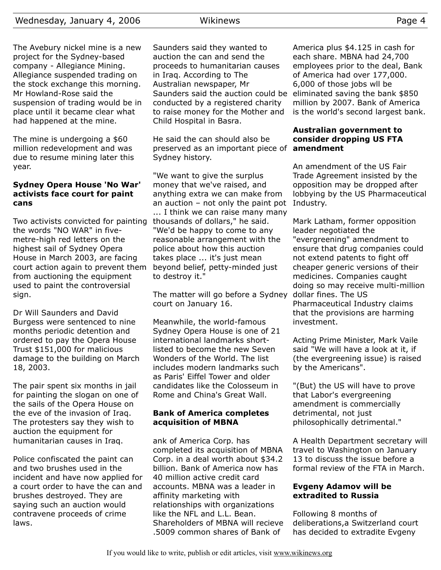The Avebury nickel mine is a new project for the Sydney-based company - Allegiance Mining. Allegiance suspended trading on the stock exchange this morning. Mr Howland-Rose said the suspension of trading would be in place until it became clear what had happened at the mine.

The mine is undergoing a \$60 million redevelopment and was due to resume mining later this year.

#### **Sydney Opera House 'No War' activists face court for paint cans**

Two activists convicted for painting the words "NO WAR" in fivemetre-high red letters on the highest sail of Sydney Opera House in March 2003, are facing court action again to prevent them from auctioning the equipment used to paint the controversial sign.

Dr Will Saunders and David Burgess were sentenced to nine months periodic detention and ordered to pay the Opera House Trust \$151,000 for malicious damage to the building on March 18, 2003.

The pair spent six months in jail for painting the slogan on one of the sails of the Opera House on the eve of the invasion of Iraq. The protesters say they wish to auction the equipment for humanitarian causes in Iraq.

Police confiscated the paint can and two brushes used in the incident and have now applied for a court order to have the can and brushes destroyed. They are saying such an auction would contravene proceeds of crime laws.

Saunders said they wanted to auction the can and send the proceeds to humanitarian causes in Iraq. According to The Australian newspaper, Mr Saunders said the auction could be eliminated saving the bank \$850 conducted by a registered charity to raise money for the Mother and Child Hospital in Basra.

He said the can should also be preserved as an important piece of **amendment** Sydney history.

"We want to give the surplus money that we've raised, and anything extra we can make from an auction – not only the paint pot ... I think we can raise many many thousands of dollars," he said. "We'd be happy to come to any reasonable arrangement with the police about how this auction takes place ... it's just mean beyond belief, petty-minded just to destroy it."

The matter will go before a Sydney court on January 16.

Meanwhile, the world-famous Sydney Opera House is one of 21 international landmarks shortlisted to become the new Seven Wonders of the World. The list includes modern landmarks such as Paris' Eiffel Tower and older candidates like the Colosseum in Rome and China's Great Wall.

#### **Bank of America completes acquisition of MBNA**

ank of America Corp. has completed its acquisition of MBNA Corp. in a deal worth about \$34.2 billion. Bank of America now has 40 million active credit card accounts. MBNA was a leader in affinity marketing with relationships with organizations like the NFL and L.L. Bean. Shareholders of MBNA will recieve .5009 common shares of Bank of

America plus \$4.125 in cash for each share. MBNA had 24,700 employees prior to the deal, Bank of America had over 177,000. 6,000 of those jobs wll be million by 2007. Bank of America is the world's second largest bank.

## **Australian government to consider dropping US FTA**

An amendment of the US Fair Trade Agreement insisted by the opposition may be dropped after lobbying by the US Pharmaceutical Industry.

Mark Latham, former opposition leader negotiated the "evergreening" amendment to ensure that drug companies could not extend patents to fight off cheaper generic versions of their medicines. Companies caught doing so may receive multi-million dollar fines. The US Pharmaceutical Industry claims that the provisions are harming investment.

Acting Prime Minister, Mark Vaile said "We will have a look at it, if (the evergreening issue) is raised by the Americans".

"(But) the US will have to prove that Labor's evergreening amendment is commercially detrimental, not just philosophically detrimental."

A Health Department secretary will travel to Washington on January 13 to discuss the issue before a formal review of the FTA in March.

#### **Evgeny Adamov will be extradited to Russia**

Following 8 months of deliberations,a Switzerland court has decided to extradite Evgeny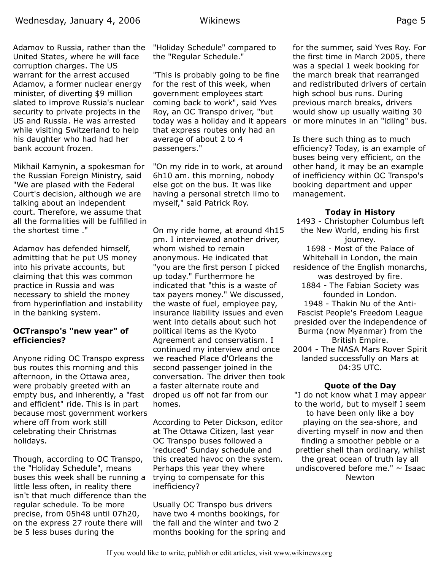Adamov to Russia, rather than the United States, where he will face corruption charges. The US warrant for the arrest accused Adamov, a former nuclear energy minister, of diverting \$9 million slated to improve Russia's nuclear security to private projects in the US and Russia. He was arrested while visiting Switzerland to help his daughter who had had her bank account frozen.

Mikhail Kamynin, a spokesman for the Russian Foreign Ministry, said "We are plased with the Federal Court's decision, although we are talking about an independent court. Therefore, we assume that all the formalities will be fulfilled in the shortest time ."

Adamov has defended himself, admitting that he put US money into his private accounts, but claiming that this was common practice in Russia and was necessary to shield the money from hyperinflation and instability in the banking system.

#### **OCTranspo's "new year" of efficiencies?**

Anyone riding OC Transpo express bus routes this morning and this afternoon, in the Ottawa area, were probably greeted with an empty bus, and inherently, a "fast and efficient" ride. This is in part because most government workers where off from work still celebrating their Christmas holidays.

Though, according to OC Transpo, the "Holiday Schedule", means buses this week shall be running a little less often, in reality there isn't that much difference than the regular schedule. To be more precise, from 05h48 until 07h20, on the express 27 route there will be 5 less buses during the

"Holiday Schedule" compared to the "Regular Schedule."

"This is probably going to be fine for the rest of this week, when government employees start coming back to work", said Yves Roy, an OC Transpo driver, "but today was a holiday and it appears that express routes only had an average of about 2 to 4 passengers."

"On my ride in to work, at around 6h10 am. this morning, nobody else got on the bus. It was like having a personal stretch limo to myself," said Patrick Roy.

On my ride home, at around 4h15 pm. I interviewed another driver, whom wished to remain anonymous. He indicated that "you are the first person I picked up today." Furthermore he indicated that "this is a waste of tax payers money." We discussed, the waste of fuel, employee pay, insurance liability issues and even went into details about such hot political items as the Kyoto Agreement and conservatism. I continued my interview and once we reached Place d'Orleans the second passenger joined in the conversation. The driver then took a faster alternate route and droped us off not far from our homes.

According to Peter Dickson, editor at The Ottawa Citizen, last year OC Transpo buses followed a 'reduced' Sunday schedule and this created havoc on the system. Perhaps this year they where trying to compensate for this inefficiency?

Usually OC Transpo bus drivers have two 4 months bookings, for the fall and the winter and two 2 months booking for the spring and for the summer, said Yves Roy. For the first time in March 2005, there was a special 1 week booking for the march break that rearranged and redistributed drivers of certain high school bus runs. During previous march breaks, drivers would show up usually waiting 30 or more minutes in an "idling" bus.

Is there such thing as to much efficiency? Today, is an example of buses being very efficient, on the other hand, it may be an example of inefficiency within OC Transpo's booking department and upper management.

#### **Today in History**

1493 - Christopher Columbus left the New World, ending his first journey. 1698 - Most of the Palace of Whitehall in London, the main residence of the English monarchs, was destroyed by fire. 1884 - The Fabian Society was founded in London. 1948 - Thakin Nu of the Anti-Fascist People's Freedom League presided over the independence of Burma (now Myanmar) from the British Empire. 2004 - The NASA Mars Rover Spirit landed successfully on Mars at

04:35 UTC.

#### **Quote of the Day**

"I do not know what I may appear to the world, but to myself I seem to have been only like a boy playing on the sea-shore, and diverting myself in now and then finding a smoother pebble or a prettier shell than ordinary, whilst the great ocean of truth lay all undiscovered before me."  $\sim$  Isaac Newton